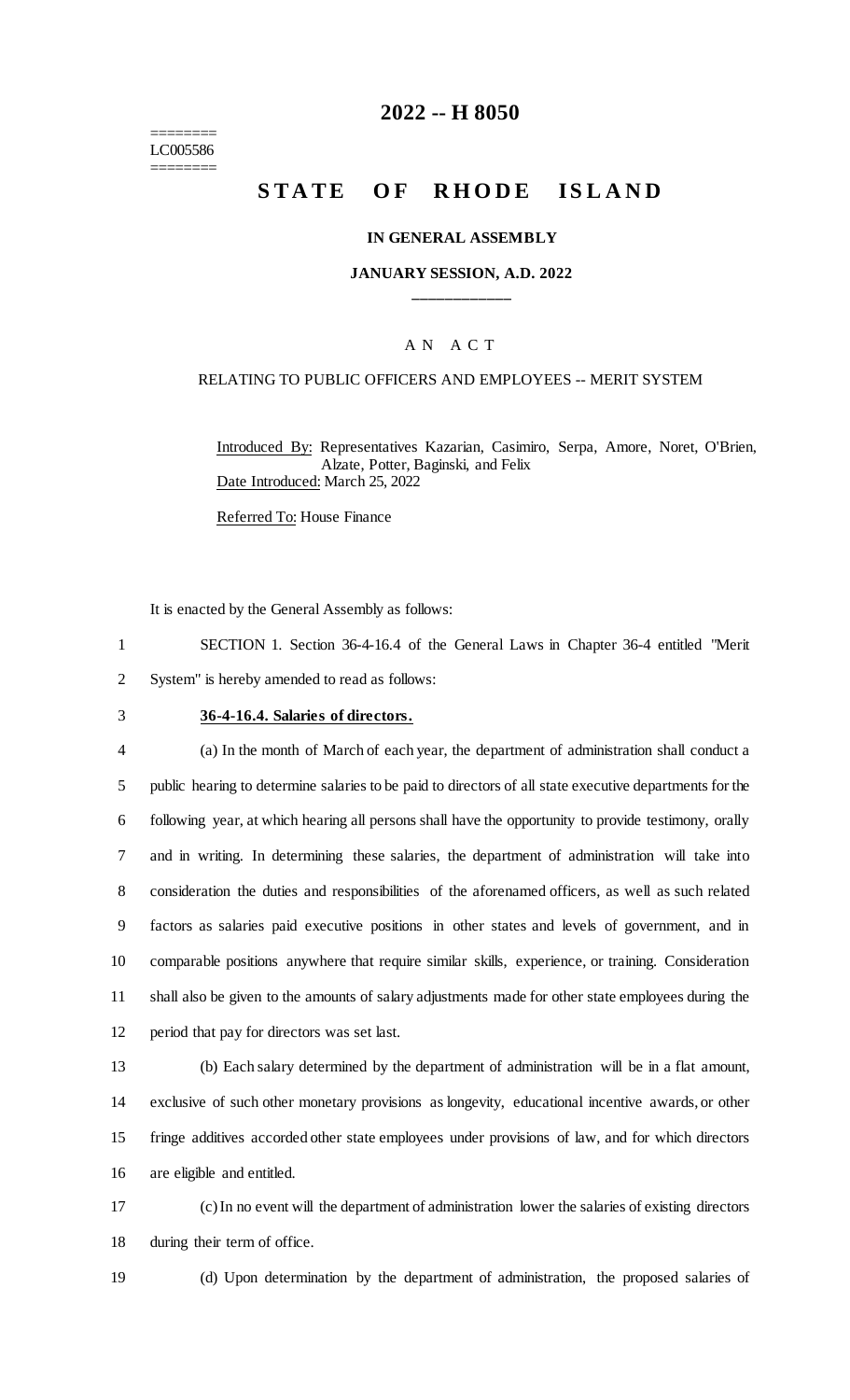======== LC005586 ========

## **2022 -- H 8050**

# **STATE OF RHODE ISLAND**

#### **IN GENERAL ASSEMBLY**

## **JANUARY SESSION, A.D. 2022 \_\_\_\_\_\_\_\_\_\_\_\_**

### A N A C T

#### RELATING TO PUBLIC OFFICERS AND EMPLOYEES -- MERIT SYSTEM

Introduced By: Representatives Kazarian, Casimiro, Serpa, Amore, Noret, O'Brien, Alzate, Potter, Baginski, and Felix Date Introduced: March 25, 2022

Referred To: House Finance

It is enacted by the General Assembly as follows:

1 SECTION 1. Section 36-4-16.4 of the General Laws in Chapter 36-4 entitled "Merit 2 System" is hereby amended to read as follows:

#### 3 **36-4-16.4. Salaries of directors.**

 (a) In the month of March of each year, the department of administration shall conduct a public hearing to determine salaries to be paid to directors of all state executive departments for the following year, at which hearing all persons shall have the opportunity to provide testimony, orally and in writing. In determining these salaries, the department of administration will take into consideration the duties and responsibilities of the aforenamed officers, as well as such related factors as salaries paid executive positions in other states and levels of government, and in comparable positions anywhere that require similar skills, experience, or training. Consideration shall also be given to the amounts of salary adjustments made for other state employees during the period that pay for directors was set last.

 (b) Each salary determined by the department of administration will be in a flat amount, exclusive of such other monetary provisions as longevity, educational incentive awards, or other fringe additives accorded other state employees under provisions of law, and for which directors are eligible and entitled.

17 (c) In no event will the department of administration lower the salaries of existing directors 18 during their term of office.

19 (d) Upon determination by the department of administration, the proposed salaries of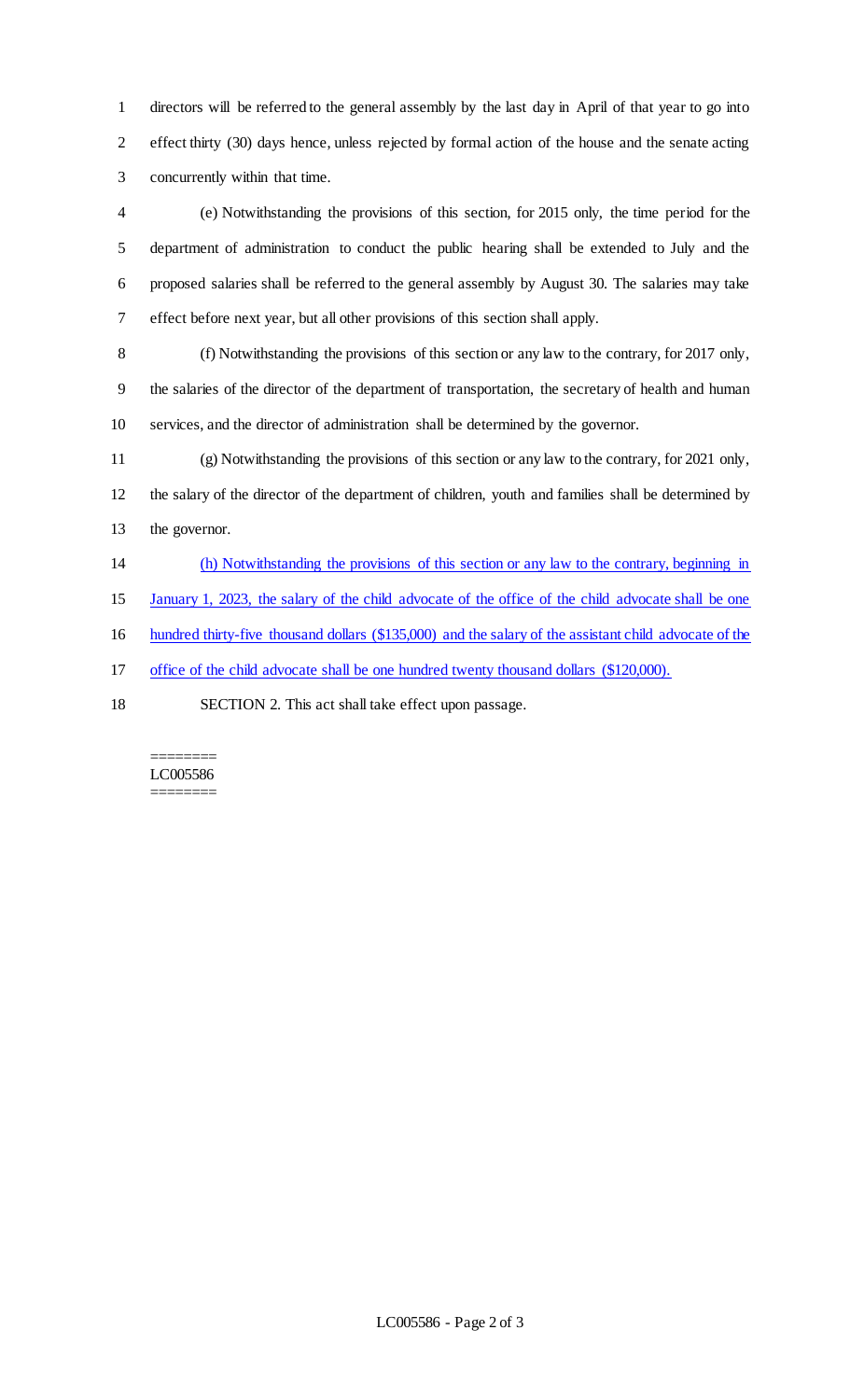directors will be referred to the general assembly by the last day in April of that year to go into effect thirty (30) days hence, unless rejected by formal action of the house and the senate acting concurrently within that time.

 (e) Notwithstanding the provisions of this section, for 2015 only, the time period for the department of administration to conduct the public hearing shall be extended to July and the proposed salaries shall be referred to the general assembly by August 30. The salaries may take effect before next year, but all other provisions of this section shall apply.

 (f) Notwithstanding the provisions of this section or any law to the contrary, for 2017 only, the salaries of the director of the department of transportation, the secretary of health and human services, and the director of administration shall be determined by the governor.

 (g) Notwithstanding the provisions of this section or any law to the contrary, for 2021 only, the salary of the director of the department of children, youth and families shall be determined by the governor.

(h) Notwithstanding the provisions of this section or any law to the contrary, beginning in

January 1, 2023, the salary of the child advocate of the office of the child advocate shall be one

hundred thirty-five thousand dollars (\$135,000) and the salary of the assistant child advocate of the

office of the child advocate shall be one hundred twenty thousand dollars (\$120,000).

SECTION 2. This act shall take effect upon passage.

#### ======== LC005586 ========